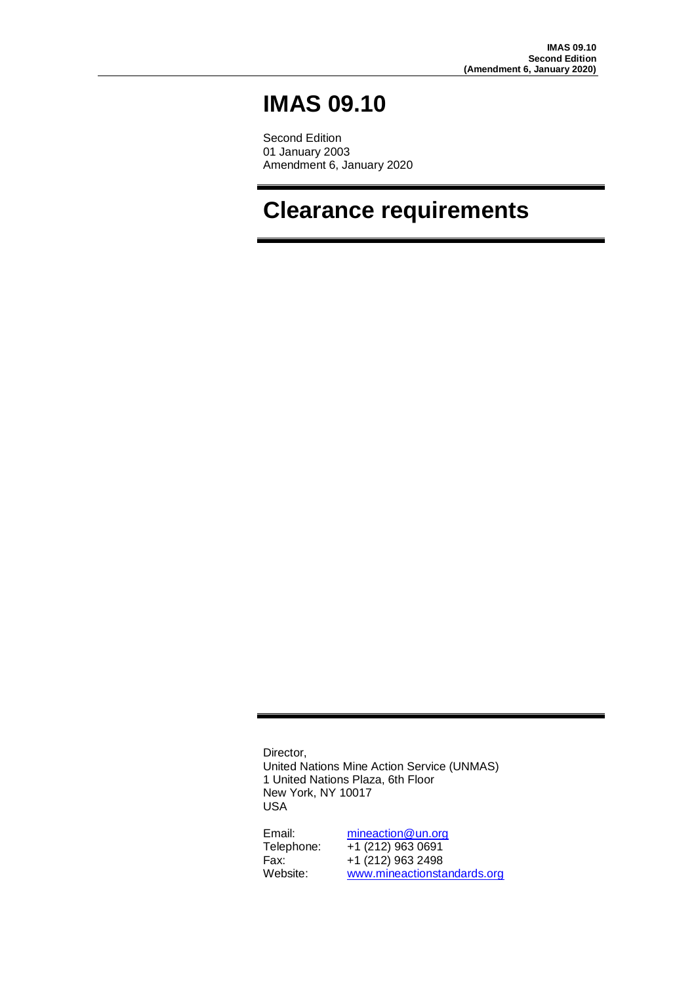# **IMAS 09.10**

Second Edition 01 January 2003 Amendment 6, January 2020

# **Clearance requirements**

Director, United Nations Mine Action Service (UNMAS) 1 United Nations Plaza, 6th Floor New York, NY 10017 USA

Email: [mineaction@un.org](mailto:mineaction@un.org) Telephone: +1 (212) 963 0691 Fax: +1 (212) 963 2498 Website: [www.mineactionstandards.org](http://www.mineactionstandards.org/)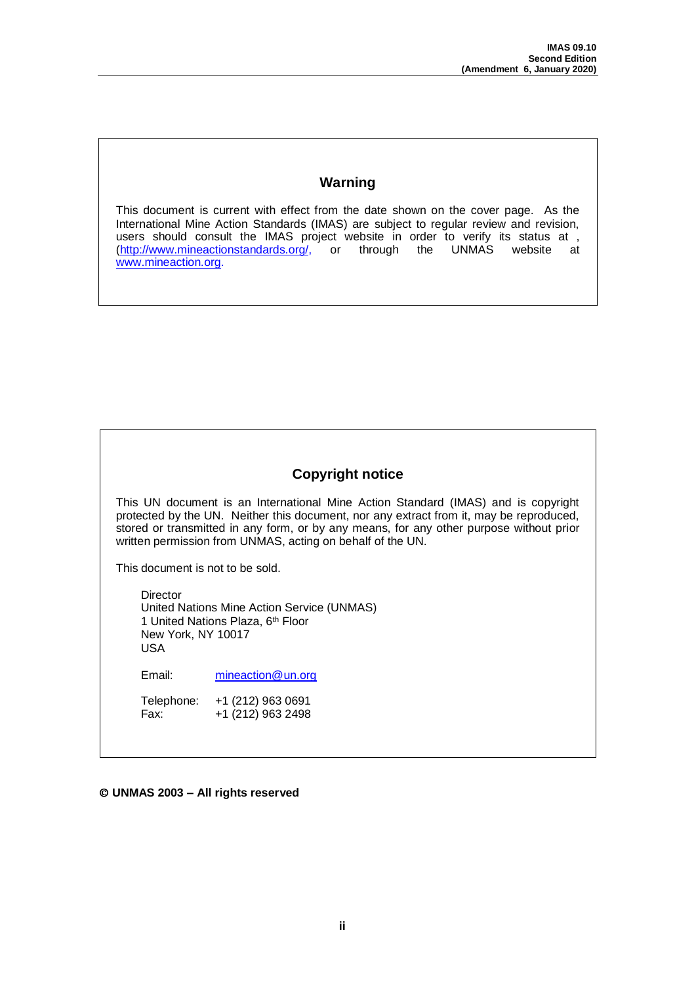### **Warning**

This document is current with effect from the date shown on the cover page. As the International Mine Action Standards (IMAS) are subject to regular review and revision, users should consult the IMAS project website in order to verify its status at , (http://www.mineactionstandards.org/, or through the UNMAS website at  $\int$  or through the UNMAS website at [www.mineaction.org.](http://www.mineaction.org/) 

### **Copyright notice**

This UN document is an International Mine Action Standard (IMAS) and is copyright protected by the UN. Neither this document, nor any extract from it, may be reproduced, stored or transmitted in any form, or by any means, for any other purpose without prior written permission from UNMAS, acting on behalf of the UN.

This document is not to be sold.

**Director** United Nations Mine Action Service (UNMAS) 1 United Nations Plaza, 6<sup>th</sup> Floor New York, NY 10017 USA

Email: [mineaction@un.org](mailto:mineaction@un.org)

Telephone: +1 (212) 963 0691<br>Fax: +1 (212) 963 2498  $+1$  (212) 963 2498

**UNMAS 2003 – All rights reserved**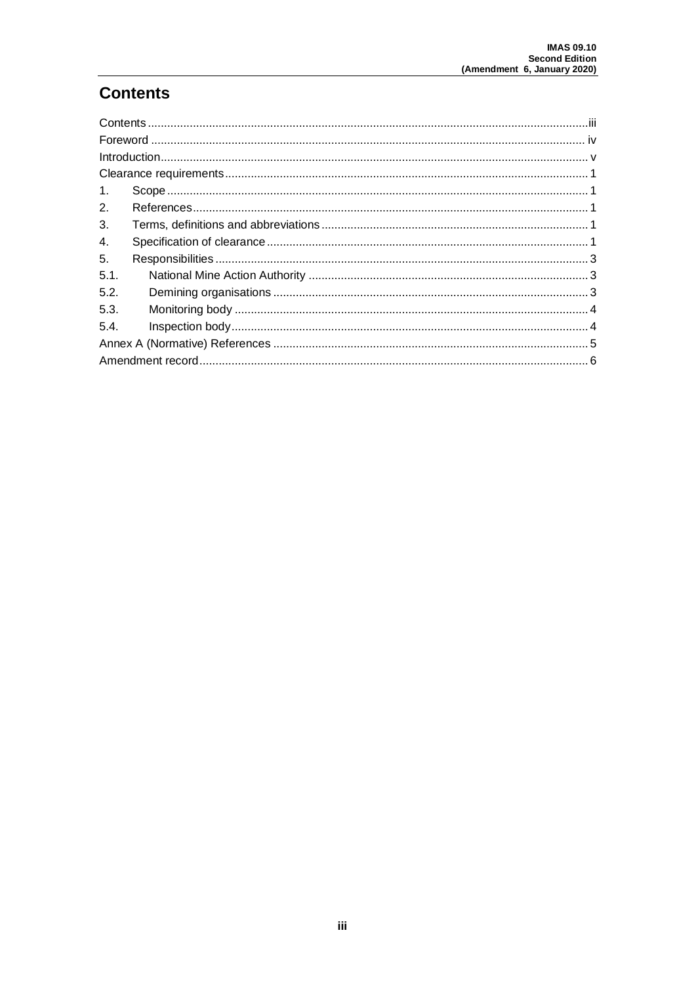# <span id="page-2-0"></span>**Contents**

| 1.   |  |  |  |  |
|------|--|--|--|--|
| 2.   |  |  |  |  |
| 3.   |  |  |  |  |
| 4.   |  |  |  |  |
| 5.   |  |  |  |  |
| 5.1. |  |  |  |  |
| 5.2. |  |  |  |  |
| 5.3. |  |  |  |  |
| 5.4. |  |  |  |  |
|      |  |  |  |  |
|      |  |  |  |  |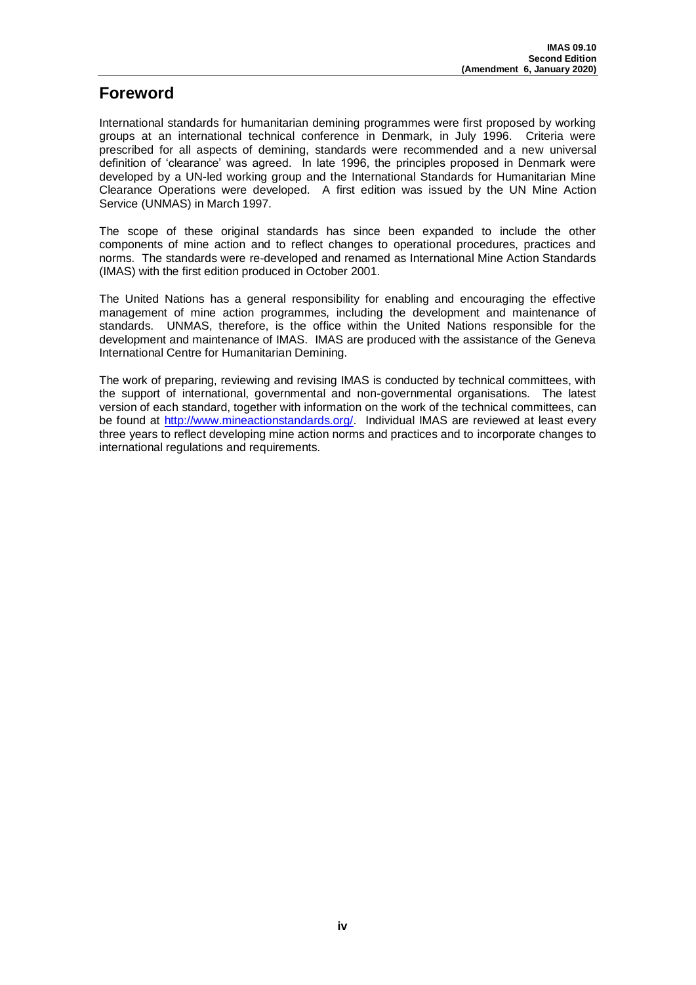# <span id="page-3-0"></span>**Foreword**

International standards for humanitarian demining programmes were first proposed by working groups at an international technical conference in Denmark, in July 1996. Criteria were prescribed for all aspects of demining, standards were recommended and a new universal definition of 'clearance' was agreed. In late 1996, the principles proposed in Denmark were developed by a UN-led working group and the International Standards for Humanitarian Mine Clearance Operations were developed. A first edition was issued by the UN Mine Action Service (UNMAS) in March 1997.

The scope of these original standards has since been expanded to include the other components of mine action and to reflect changes to operational procedures, practices and norms. The standards were re-developed and renamed as International Mine Action Standards (IMAS) with the first edition produced in October 2001.

The United Nations has a general responsibility for enabling and encouraging the effective management of mine action programmes, including the development and maintenance of standards. UNMAS, therefore, is the office within the United Nations responsible for the development and maintenance of IMAS. IMAS are produced with the assistance of the Geneva International Centre for Humanitarian Demining.

The work of preparing, reviewing and revising IMAS is conducted by technical committees, with the support of international, governmental and non-governmental organisations. The latest version of each standard, together with information on the work of the technical committees, can be found at [http://www.mineactionstandards.org/.](http://www.mineactionstandards.org/) Individual IMAS are reviewed at least every three years to reflect developing mine action norms and practices and to incorporate changes to international regulations and requirements.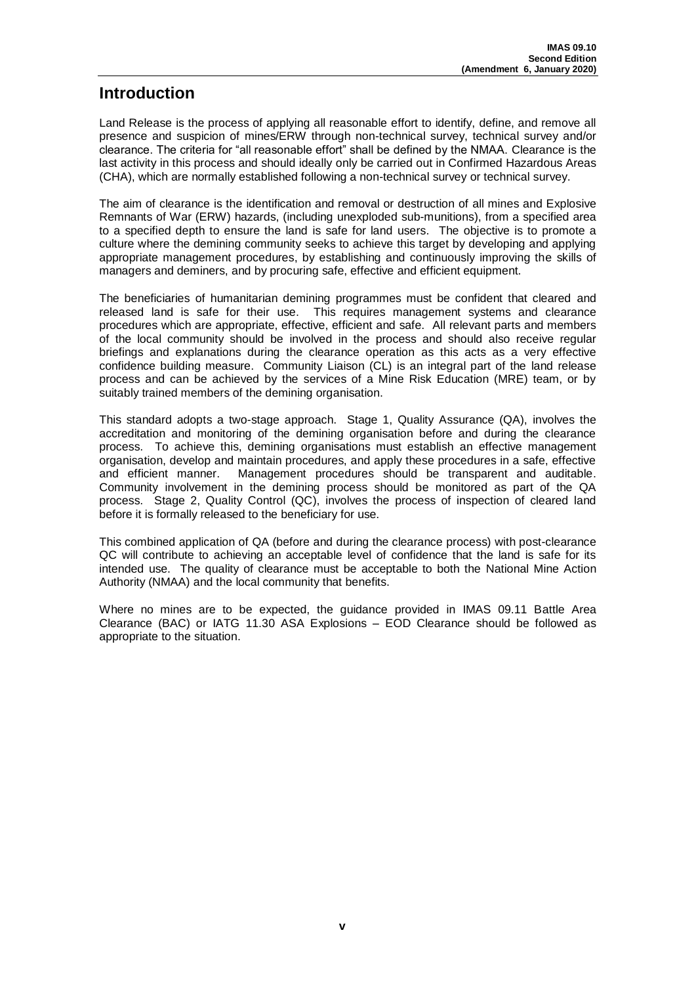# <span id="page-4-0"></span>**Introduction**

Land Release is the process of applying all reasonable effort to identify, define, and remove all presence and suspicion of mines/ERW through non-technical survey, technical survey and/or clearance. The criteria for "all reasonable effort" shall be defined by the NMAA. Clearance is the last activity in this process and should ideally only be carried out in Confirmed Hazardous Areas (CHA), which are normally established following a non-technical survey or technical survey.

The aim of clearance is the identification and removal or destruction of all mines and Explosive Remnants of War (ERW) hazards, (including unexploded sub-munitions), from a specified area to a specified depth to ensure the land is safe for land users. The objective is to promote a culture where the demining community seeks to achieve this target by developing and applying appropriate management procedures, by establishing and continuously improving the skills of managers and deminers, and by procuring safe, effective and efficient equipment.

The beneficiaries of humanitarian demining programmes must be confident that cleared and released land is safe for their use. This requires management systems and clearance procedures which are appropriate, effective, efficient and safe. All relevant parts and members of the local community should be involved in the process and should also receive regular briefings and explanations during the clearance operation as this acts as a very effective confidence building measure. Community Liaison (CL) is an integral part of the land release process and can be achieved by the services of a Mine Risk Education (MRE) team, or by suitably trained members of the demining organisation.

This standard adopts a two-stage approach. Stage 1, Quality Assurance (QA), involves the accreditation and monitoring of the demining organisation before and during the clearance process. To achieve this, demining organisations must establish an effective management organisation, develop and maintain procedures, and apply these procedures in a safe, effective and efficient manner. Management procedures should be transparent and auditable. Community involvement in the demining process should be monitored as part of the QA process. Stage 2, Quality Control (QC), involves the process of inspection of cleared land before it is formally released to the beneficiary for use.

This combined application of QA (before and during the clearance process) with post-clearance QC will contribute to achieving an acceptable level of confidence that the land is safe for its intended use. The quality of clearance must be acceptable to both the National Mine Action Authority (NMAA) and the local community that benefits.

Where no mines are to be expected, the guidance provided in IMAS 09.11 Battle Area Clearance (BAC) or IATG 11.30 ASA Explosions – EOD Clearance should be followed as appropriate to the situation.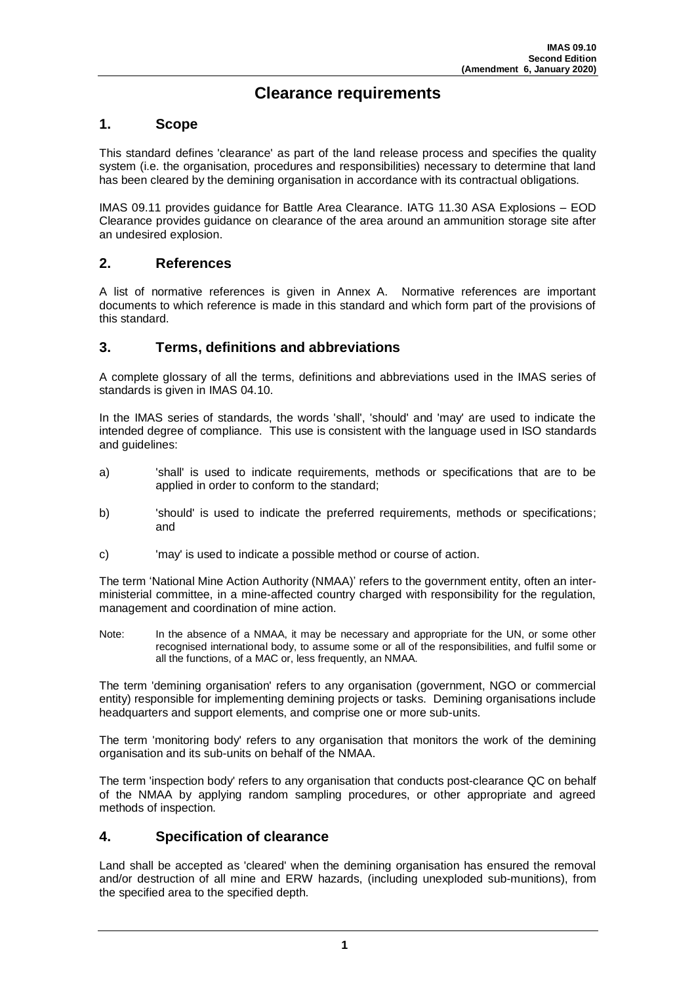# **Clearance requirements**

#### <span id="page-5-1"></span><span id="page-5-0"></span>**1. Scope**

This standard defines 'clearance' as part of the land release process and specifies the quality system (i.e. the organisation, procedures and responsibilities) necessary to determine that land has been cleared by the demining organisation in accordance with its contractual obligations.

IMAS 09.11 provides guidance for Battle Area Clearance. IATG 11.30 ASA Explosions – EOD Clearance provides guidance on clearance of the area around an ammunition storage site after an undesired explosion.

#### <span id="page-5-2"></span>**2. References**

A list of normative references is given in Annex A. Normative references are important documents to which reference is made in this standard and which form part of the provisions of this standard.

#### <span id="page-5-3"></span>**3. Terms, definitions and abbreviations**

A complete glossary of all the terms, definitions and abbreviations used in the IMAS series of standards is given in IMAS 04.10.

In the IMAS series of standards, the words 'shall', 'should' and 'may' are used to indicate the intended degree of compliance. This use is consistent with the language used in ISO standards and guidelines:

- a) 'shall' is used to indicate requirements, methods or specifications that are to be applied in order to conform to the standard;
- b) 'should' is used to indicate the preferred requirements, methods or specifications; and
- c) 'may' is used to indicate a possible method or course of action.

The term 'National Mine Action Authority (NMAA)' refers to the government entity, often an interministerial committee, in a mine-affected country charged with responsibility for the regulation, management and coordination of mine action.

Note: In the absence of a NMAA, it may be necessary and appropriate for the UN, or some other recognised international body, to assume some or all of the responsibilities, and fulfil some or all the functions, of a MAC or, less frequently, an NMAA.

The term 'demining organisation' refers to any organisation (government, NGO or commercial entity) responsible for implementing demining projects or tasks. Demining organisations include headquarters and support elements, and comprise one or more sub-units.

The term 'monitoring body' refers to any organisation that monitors the work of the demining organisation and its sub-units on behalf of the NMAA.

The term 'inspection body' refers to any organisation that conducts post-clearance QC on behalf of the NMAA by applying random sampling procedures, or other appropriate and agreed methods of inspection.

#### <span id="page-5-4"></span>**4. Specification of clearance**

Land shall be accepted as 'cleared' when the demining organisation has ensured the removal and/or destruction of all mine and ERW hazards, (including unexploded sub-munitions), from the specified area to the specified depth.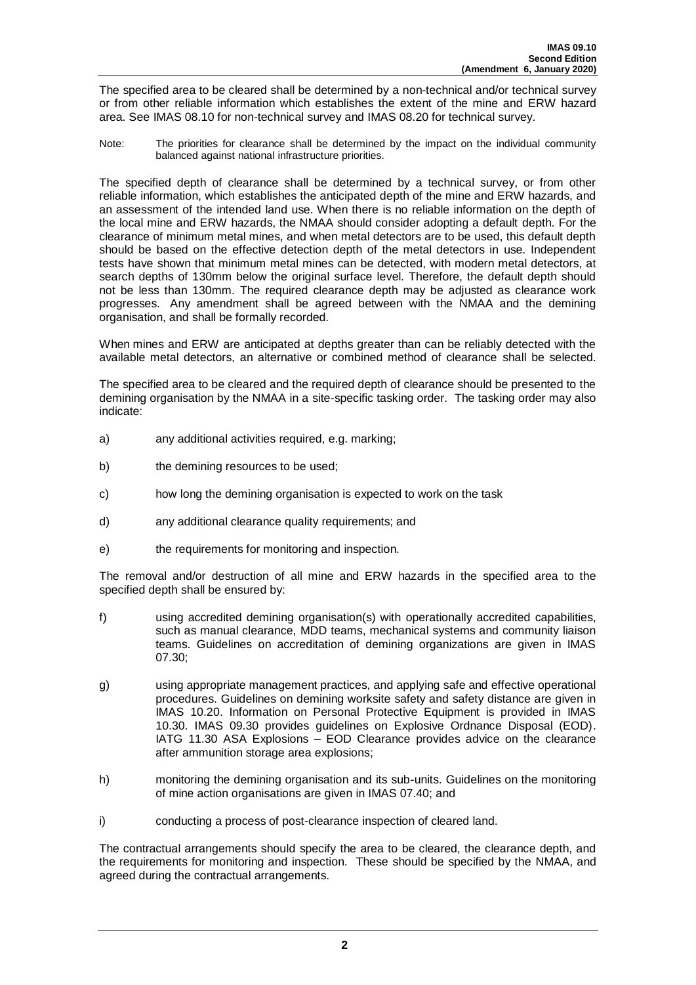The specified area to be cleared shall be determined by a non-technical and/or technical survey or from other reliable information which establishes the extent of the mine and ERW hazard area. See IMAS 08.10 for non-technical survey and IMAS 08.20 for technical survey.

Note: The priorities for clearance shall be determined by the impact on the individual community balanced against national infrastructure priorities.

The specified depth of clearance shall be determined by a technical survey, or from other reliable information, which establishes the anticipated depth of the mine and ERW hazards, and an assessment of the intended land use. When there is no reliable information on the depth of the local mine and ERW hazards, the NMAA should consider adopting a default depth. For the clearance of minimum metal mines, and when metal detectors are to be used, this default depth should be based on the effective detection depth of the metal detectors in use. Independent tests have shown that minimum metal mines can be detected, with modern metal detectors, at search depths of 130mm below the original surface level. Therefore, the default depth should not be less than 130mm. The required clearance depth may be adjusted as clearance work progresses. Any amendment shall be agreed between with the NMAA and the demining organisation, and shall be formally recorded.

When mines and ERW are anticipated at depths greater than can be reliably detected with the available metal detectors, an alternative or combined method of clearance shall be selected.

The specified area to be cleared and the required depth of clearance should be presented to the demining organisation by the NMAA in a site-specific tasking order. The tasking order may also indicate:

- a) any additional activities required, e.g. marking;
- b) the demining resources to be used;
- c) how long the demining organisation is expected to work on the task
- d) any additional clearance quality requirements; and
- e) the requirements for monitoring and inspection.

The removal and/or destruction of all mine and ERW hazards in the specified area to the specified depth shall be ensured by:

- f) using accredited demining organisation(s) with operationally accredited capabilities, such as manual clearance, MDD teams, mechanical systems and community liaison teams. Guidelines on accreditation of demining organizations are given in IMAS 07.30;
- g) using appropriate management practices, and applying safe and effective operational procedures. Guidelines on demining worksite safety and safety distance are given in IMAS 10.20. Information on Personal Protective Equipment is provided in IMAS 10.30. IMAS 09.30 provides guidelines on Explosive Ordnance Disposal (EOD). IATG 11.30 ASA Explosions – EOD Clearance provides advice on the clearance after ammunition storage area explosions;
- h) monitoring the demining organisation and its sub-units. Guidelines on the monitoring of mine action organisations are given in IMAS 07.40; and
- i) conducting a process of post-clearance inspection of cleared land.

The contractual arrangements should specify the area to be cleared, the clearance depth, and the requirements for monitoring and inspection. These should be specified by the NMAA, and agreed during the contractual arrangements.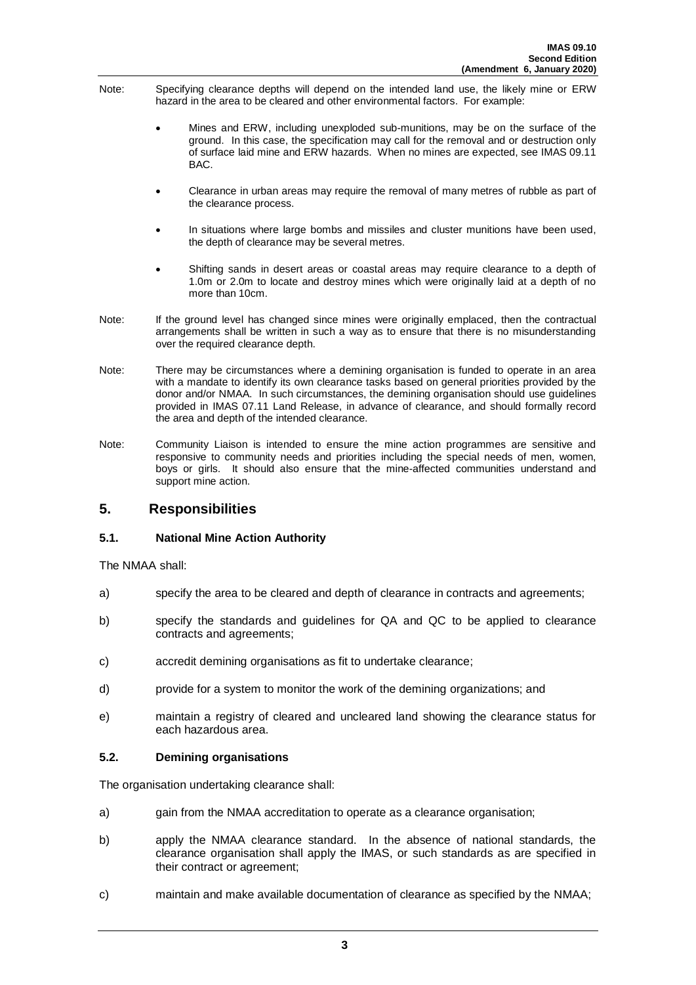- Note: Specifying clearance depths will depend on the intended land use, the likely mine or ERW hazard in the area to be cleared and other environmental factors. For example:
	- Mines and ERW, including unexploded sub-munitions, may be on the surface of the ground. In this case, the specification may call for the removal and or destruction only of surface laid mine and ERW hazards. When no mines are expected, see IMAS 09.11 BAC.
	- Clearance in urban areas may require the removal of many metres of rubble as part of the clearance process.
	- In situations where large bombs and missiles and cluster munitions have been used, the depth of clearance may be several metres.
	- Shifting sands in desert areas or coastal areas may require clearance to a depth of 1.0m or 2.0m to locate and destroy mines which were originally laid at a depth of no more than 10cm.
- Note: If the ground level has changed since mines were originally emplaced, then the contractual arrangements shall be written in such a way as to ensure that there is no misunderstanding over the required clearance depth.
- Note: There may be circumstances where a demining organisation is funded to operate in an area with a mandate to identify its own clearance tasks based on general priorities provided by the donor and/or NMAA. In such circumstances, the demining organisation should use guidelines provided in IMAS 07.11 Land Release, in advance of clearance, and should formally record the area and depth of the intended clearance.
- Note: Community Liaison is intended to ensure the mine action programmes are sensitive and responsive to community needs and priorities including the special needs of men, women, boys or girls. It should also ensure that the mine-affected communities understand and support mine action.

#### <span id="page-7-0"></span>**5. Responsibilities**

#### <span id="page-7-1"></span>**5.1. National Mine Action Authority**

The NMAA shall:

- a) specify the area to be cleared and depth of clearance in contracts and agreements;
- b) specify the standards and guidelines for QA and QC to be applied to clearance contracts and agreements;
- c) accredit demining organisations as fit to undertake clearance;
- d) provide for a system to monitor the work of the demining organizations; and
- e) maintain a registry of cleared and uncleared land showing the clearance status for each hazardous area.

#### <span id="page-7-2"></span>**5.2. Demining organisations**

The organisation undertaking clearance shall:

- a) gain from the NMAA accreditation to operate as a clearance organisation;
- b) apply the NMAA clearance standard. In the absence of national standards, the clearance organisation shall apply the IMAS, or such standards as are specified in their contract or agreement;
- c) maintain and make available documentation of clearance as specified by the NMAA;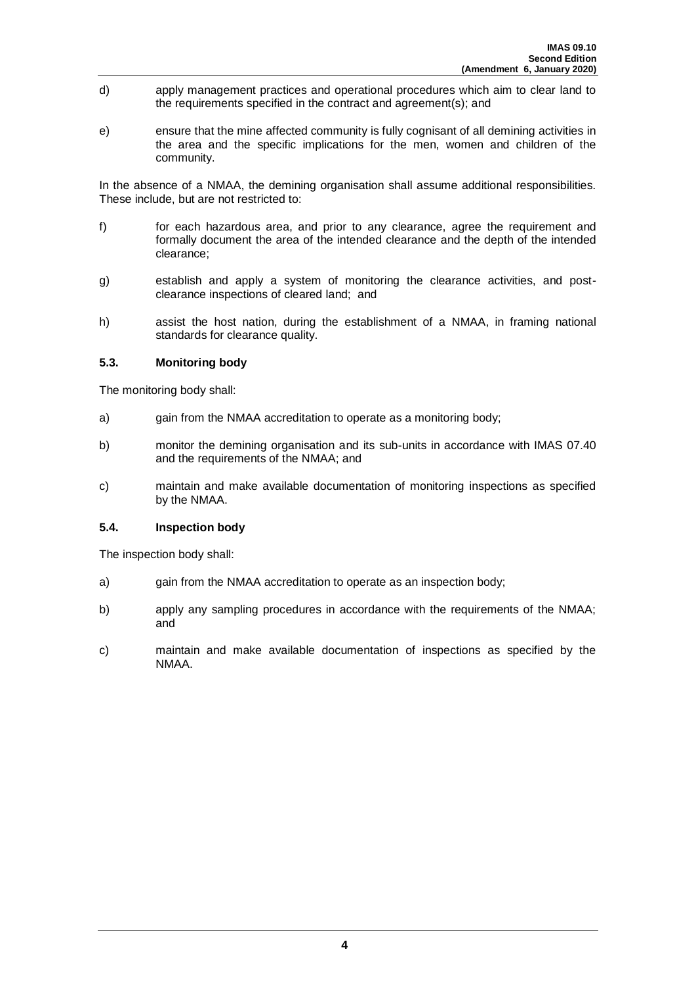- d) apply management practices and operational procedures which aim to clear land to the requirements specified in the contract and agreement(s); and
- e) ensure that the mine affected community is fully cognisant of all demining activities in the area and the specific implications for the men, women and children of the community.

In the absence of a NMAA, the demining organisation shall assume additional responsibilities. These include, but are not restricted to:

- f) for each hazardous area, and prior to any clearance, agree the requirement and formally document the area of the intended clearance and the depth of the intended clearance;
- g) establish and apply a system of monitoring the clearance activities, and postclearance inspections of cleared land; and
- h) assist the host nation, during the establishment of a NMAA, in framing national standards for clearance quality.

#### <span id="page-8-0"></span>**5.3. Monitoring body**

The monitoring body shall:

- a) gain from the NMAA accreditation to operate as a monitoring body;
- b) monitor the demining organisation and its sub-units in accordance with IMAS 07.40 and the requirements of the NMAA; and
- c) maintain and make available documentation of monitoring inspections as specified by the NMAA.

#### <span id="page-8-1"></span>**5.4. Inspection body**

The inspection body shall:

- a) gain from the NMAA accreditation to operate as an inspection body;
- b) apply any sampling procedures in accordance with the requirements of the NMAA; and
- c) maintain and make available documentation of inspections as specified by the NMAA.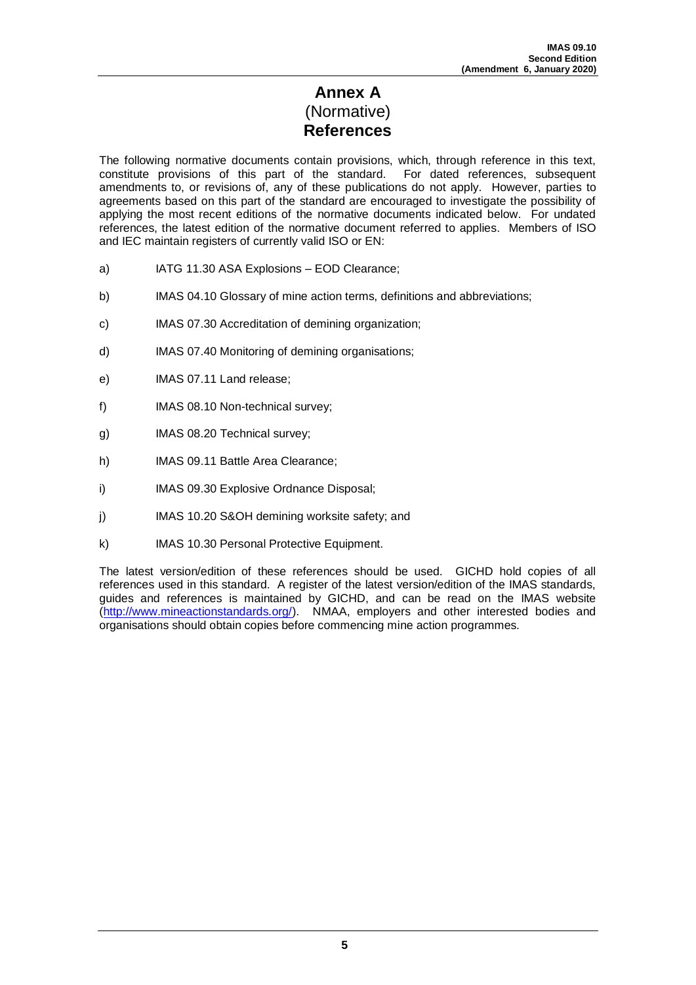# **Annex A** (Normative) **References**

<span id="page-9-0"></span>The following normative documents contain provisions, which, through reference in this text, constitute provisions of this part of the standard. For dated references, subsequent amendments to, or revisions of, any of these publications do not apply. However, parties to agreements based on this part of the standard are encouraged to investigate the possibility of applying the most recent editions of the normative documents indicated below. For undated references, the latest edition of the normative document referred to applies. Members of ISO and IEC maintain registers of currently valid ISO or EN:

- a) IATG 11.30 ASA Explosions EOD Clearance;
- b) IMAS 04.10 Glossary of mine action terms, definitions and abbreviations;
- c) IMAS 07.30 Accreditation of demining organization;
- d) IMAS 07.40 Monitoring of demining organisations;
- e) IMAS 07.11 Land release;
- f) IMAS 08.10 Non-technical survey;
- g) IMAS 08.20 Technical survey;
- h) IMAS 09.11 Battle Area Clearance;
- i) IMAS 09.30 Explosive Ordnance Disposal;
- j) IMAS 10.20 S&OH demining worksite safety; and
- k) IMAS 10.30 Personal Protective Equipment.

The latest version/edition of these references should be used. GICHD hold copies of all references used in this standard. A register of the latest version/edition of the IMAS standards, guides and references is maintained by GICHD, and can be read on the IMAS website [\(http://www.mineactionstandards.org/\)](http://www.mineactionstandards.org/). NMAA, employers and other interested bodies and organisations should obtain copies before commencing mine action programmes.